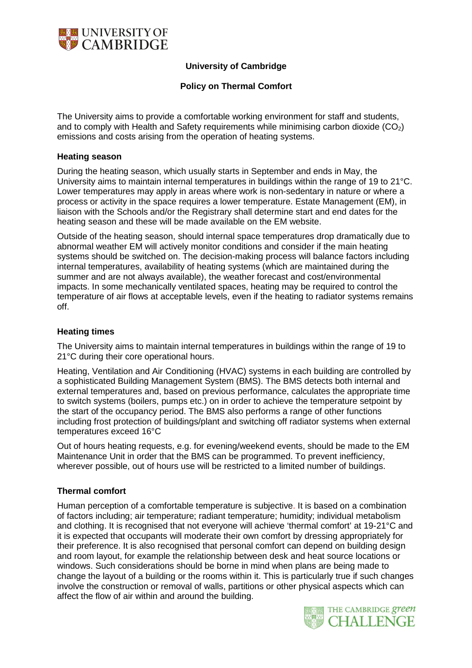

# **University of Cambridge**

### **Policy on Thermal Comfort**

The University aims to provide a comfortable working environment for staff and students, and to comply with Health and Safety requirements while minimising carbon dioxide  $(CO<sub>2</sub>)$ emissions and costs arising from the operation of heating systems.

#### **Heating season**

During the heating season, which usually starts in September and ends in May, the University aims to maintain internal temperatures in buildings within the range of 19 to 21°C. Lower temperatures may apply in areas where work is non-sedentary in nature or where a process or activity in the space requires a lower temperature. Estate Management (EM), in liaison with the Schools and/or the Registrary shall determine start and end dates for the heating season and these will be made available on the EM website.

Outside of the heating season, should internal space temperatures drop dramatically due to abnormal weather EM will actively monitor conditions and consider if the main heating systems should be switched on. The decision-making process will balance factors including internal temperatures, availability of heating systems (which are maintained during the summer and are not always available), the weather forecast and cost/environmental impacts. In some mechanically ventilated spaces, heating may be required to control the temperature of air flows at acceptable levels, even if the heating to radiator systems remains off.

#### **Heating times**

The University aims to maintain internal temperatures in buildings within the range of 19 to 21°C during their core operational hours.

Heating, Ventilation and Air Conditioning (HVAC) systems in each building are controlled by a sophisticated Building Management System (BMS). The BMS detects both internal and external temperatures and, based on previous performance, calculates the appropriate time to switch systems (boilers, pumps etc.) on in order to achieve the temperature setpoint by the start of the occupancy period. The BMS also performs a range of other functions including frost protection of buildings/plant and switching off radiator systems when external temperatures exceed 16°C

Out of hours heating requests, e.g. for evening/weekend events, should be made to the EM Maintenance Unit in order that the BMS can be programmed. To prevent inefficiency, wherever possible, out of hours use will be restricted to a limited number of buildings.

### **Thermal comfort**

Human perception of a comfortable temperature is subjective. It is based on a combination of factors including; air temperature; radiant temperature; humidity; individual metabolism and clothing. It is recognised that not everyone will achieve 'thermal comfort' at 19-21°C and it is expected that occupants will moderate their own comfort by dressing appropriately for their preference. It is also recognised that personal comfort can depend on building design and room layout, for example the relationship between desk and heat source locations or windows. Such considerations should be borne in mind when plans are being made to change the layout of a building or the rooms within it. This is particularly true if such changes involve the construction or removal of walls, partitions or other physical aspects which can affect the flow of air within and around the building.

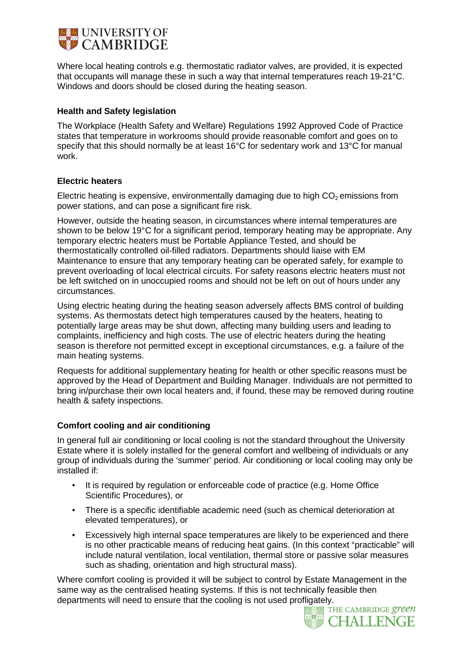

Where local heating controls e.g. thermostatic radiator valves, are provided, it is expected that occupants will manage these in such a way that internal temperatures reach 19-21°C. Windows and doors should be closed during the heating season.

#### **Health and Safety legislation**

The Workplace (Health Safety and Welfare) Regulations 1992 Approved Code of Practice states that temperature in workrooms should provide reasonable comfort and goes on to specify that this should normally be at least 16°C for sedentary work and 13°C for manual work.

#### **Electric heaters**

Electric heating is expensive, environmentally damaging due to high  $CO<sub>2</sub>$  emissions from power stations, and can pose a significant fire risk.

However, outside the heating season, in circumstances where internal temperatures are shown to be below 19°C for a significant period, temporary heating may be appropriate. Any temporary electric heaters must be Portable Appliance Tested, and should be thermostatically controlled oil-filled radiators. Departments should liaise with EM Maintenance to ensure that any temporary heating can be operated safely, for example to prevent overloading of local electrical circuits. For safety reasons electric heaters must not be left switched on in unoccupied rooms and should not be left on out of hours under any circumstances.

Using electric heating during the heating season adversely affects BMS control of building systems. As thermostats detect high temperatures caused by the heaters, heating to potentially large areas may be shut down, affecting many building users and leading to complaints, inefficiency and high costs. The use of electric heaters during the heating season is therefore not permitted except in exceptional circumstances, e.g. a failure of the main heating systems.

Requests for additional supplementary heating for health or other specific reasons must be approved by the Head of Department and Building Manager. Individuals are not permitted to bring in/purchase their own local heaters and, if found, these may be removed during routine health & safety inspections.

### **Comfort cooling and air conditioning**

In general full air conditioning or local cooling is not the standard throughout the University Estate where it is solely installed for the general comfort and wellbeing of individuals or any group of individuals during the 'summer' period. Air conditioning or local cooling may only be installed if:

- It is required by regulation or enforceable code of practice (e.g. Home Office Scientific Procedures), or
- There is a specific identifiable academic need (such as chemical deterioration at elevated temperatures), or
- Excessively high internal space temperatures are likely to be experienced and there is no other practicable means of reducing heat gains. (In this context "practicable" will include natural ventilation, local ventilation, thermal store or passive solar measures such as shading, orientation and high structural mass).

Where comfort cooling is provided it will be subject to control by Estate Management in the same way as the centralised heating systems. If this is not technically feasible then departments will need to ensure that the cooling is not used profligately.<br>THE CAMBRIDGE green